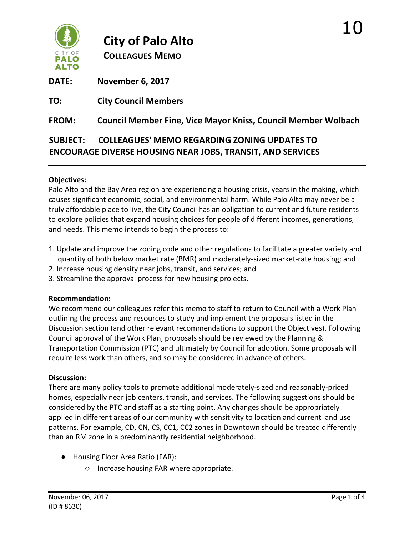

# **City of Palo Alto**

**COLLEAGUES MEMO**

**DATE: November 6, 2017** 

**TO: City Council Members**

**FROM: Council Member Fine, Vice Mayor Kniss, Council Member Wolbach**

## **SUBJECT: COLLEAGUES' MEMO REGARDING ZONING UPDATES TO ENCOURAGE DIVERSE HOUSING NEAR JOBS, TRANSIT, AND SERVICES**

### **Objectives:**

Palo Alto and the Bay Area region are experiencing a housing crisis, years in the making, which causes significant economic, social, and environmental harm. While Palo Alto may never be a truly affordable place to live, the City Council has an obligation to current and future residents to explore policies that expand housing choices for people of different incomes, generations, and needs. This memo intends to begin the process to:

- 1. Update and improve the zoning code and other regulations to facilitate a greater variety and quantity of both below market rate (BMR) and moderately-sized market-rate housing; and
- 2. Increase housing density near jobs, transit, and services; and
- 3. Streamline the approval process for new housing projects.

#### **Recommendation:**

We recommend our colleagues refer this memo to staff to return to Council with a Work Plan outlining the process and resources to study and implement the proposals listed in the Discussion section (and other relevant recommendations to support the Objectives). Following Council approval of the Work Plan, proposals should be reviewed by the Planning & Transportation Commission (PTC) and ultimately by Council for adoption. Some proposals will require less work than others, and so may be considered in advance of others.

#### **Discussion:**

There are many policy tools to promote additional moderately-sized and reasonably-priced homes, especially near job centers, transit, and services. The following suggestions should be considered by the PTC and staff as a starting point. Any changes should be appropriately applied in different areas of our community with sensitivity to location and current land use patterns. For example, CD, CN, CS, CC1, CC2 zones in Downtown should be treated differently than an RM zone in a predominantly residential neighborhood.

- Housing Floor Area Ratio (FAR):
	- Increase housing FAR where appropriate.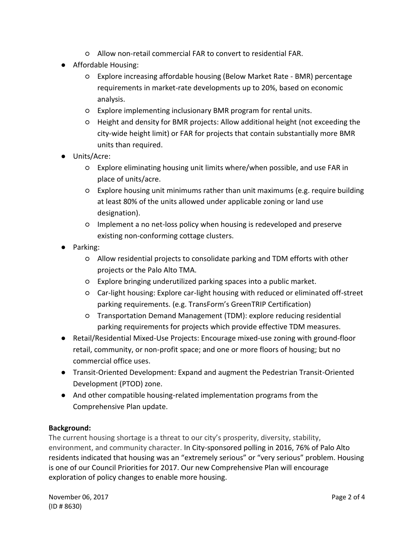- Allow non-retail commercial FAR to convert to residential FAR.
- Affordable Housing:
	- Explore increasing affordable housing (Below Market Rate BMR) percentage requirements in market-rate developments up to 20%, based on economic analysis.
	- Explore implementing inclusionary BMR program for rental units.
	- Height and density for BMR projects: Allow additional height (not exceeding the city-wide height limit) or FAR for projects that contain substantially more BMR units than required.
- Units/Acre:
	- Explore eliminating housing unit limits where/when possible, and use FAR in place of units/acre.
	- Explore housing unit minimums rather than unit maximums (e.g. require building at least 80% of the units allowed under applicable zoning or land use designation).
	- Implement a no net-loss policy when housing is redeveloped and preserve existing non-conforming cottage clusters.
- Parking:
	- Allow residential projects to consolidate parking and TDM efforts with other projects or the Palo Alto TMA.
	- Explore bringing underutilized parking spaces into a public market.
	- Car-light housing: Explore car-light housing with reduced or eliminated off-street parking requirements. (e.g. TransForm's GreenTRIP Certification)
	- Transportation Demand Management (TDM): explore reducing residential parking requirements for projects which provide effective TDM measures.
- Retail/Residential Mixed-Use Projects: Encourage mixed-use zoning with ground-floor retail, community, or non-profit space; and one or more floors of housing; but no commercial office uses.
- Transit-Oriented Development: Expand and augment the Pedestrian Transit-Oriented Development (PTOD) zone.
- And other compatible housing-related implementation programs from the Comprehensive Plan update.

#### **Background:**

The current housing shortage is a threat to our city's prosperity, diversity, stability, environment, and community character. In City-sponsored polling in 2016, 76% of Palo Alto residents indicated that housing was an "extremely serious" or "very serious" problem. Housing is one of our Council Priorities for 2017. Our new Comprehensive Plan will encourage exploration of policy changes to enable more housing.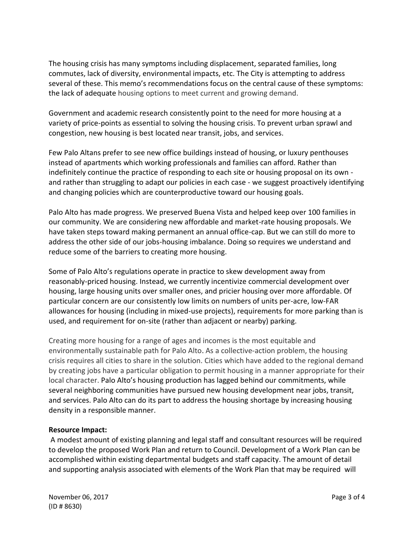The housing crisis has many symptoms including displacement, separated families, long commutes, lack of diversity, environmental impacts, etc. The City is attempting to address several of these. This memo's recommendations focus on the central cause of these symptoms: the lack of adequate housing options to meet current and growing demand.

Government and academic research consistently point to the need for more housing at a variety of price-points as essential to solving the housing crisis. To prevent urban sprawl and congestion, new housing is best located near transit, jobs, and services.

Few Palo Altans prefer to see new office buildings instead of housing, or luxury penthouses instead of apartments which working professionals and families can afford. Rather than indefinitely continue the practice of responding to each site or housing proposal on its own and rather than struggling to adapt our policies in each case - we suggest proactively identifying and changing policies which are counterproductive toward our housing goals.

Palo Alto has made progress. We preserved Buena Vista and helped keep over 100 families in our community. We are considering new affordable and market-rate housing proposals. We have taken steps toward making permanent an annual office-cap. But we can still do more to address the other side of our jobs-housing imbalance. Doing so requires we understand and reduce some of the barriers to creating more housing.

Some of Palo Alto's regulations operate in practice to skew development away from reasonably-priced housing. Instead, we currently incentivize commercial development over housing, large housing units over smaller ones, and pricier housing over more affordable. Of particular concern are our consistently low limits on numbers of units per-acre, low-FAR allowances for housing (including in mixed-use projects), requirements for more parking than is used, and requirement for on-site (rather than adjacent or nearby) parking.

Creating more housing for a range of ages and incomes is the most equitable and environmentally sustainable path for Palo Alto. As a collective-action problem, the housing crisis requires all cities to share in the solution. Cities which have added to the regional demand by creating jobs have a particular obligation to permit housing in a manner appropriate for their local character. Palo Alto's housing production has lagged behind our commitments, while several neighboring communities have pursued new housing development near jobs, transit, and services. Palo Alto can do its part to address the housing shortage by increasing housing density in a responsible manner.

#### **Resource Impact:**

A modest amount of existing planning and legal staff and consultant resources will be required to develop the proposed Work Plan and return to Council. Development of a Work Plan can be accomplished within existing departmental budgets and staff capacity. The amount of detail and supporting analysis associated with elements of the Work Plan that may be required will